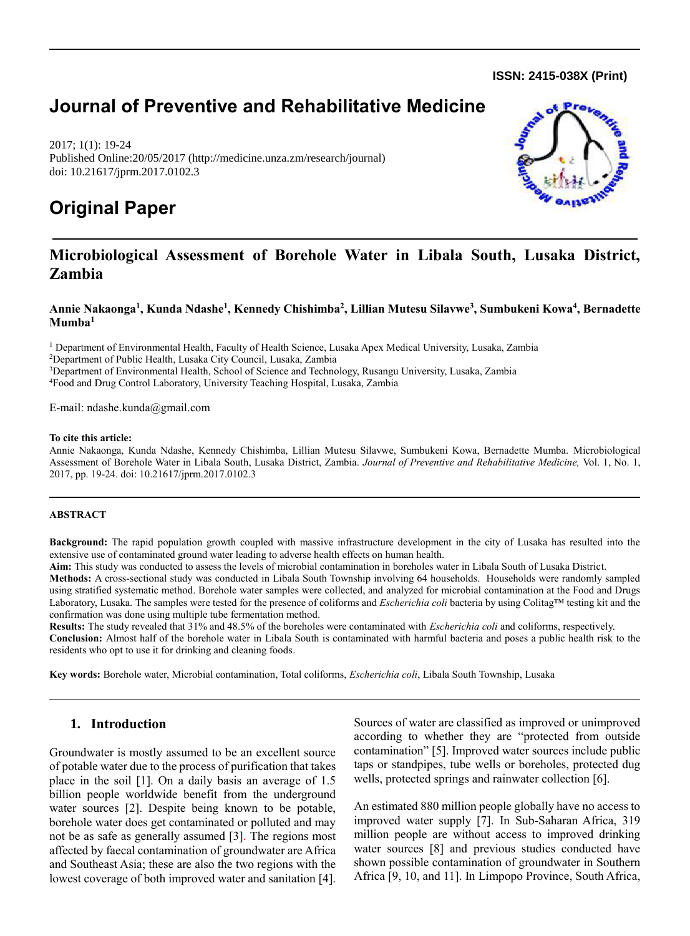**ISSN: 2415-038X (Print)** 

## **Journal of Preventive and Rehabilitative Medicine**

2017; 1(1): 19-24 Published Online:20/05/2017 (http://medicine.unza.zm/research/journal) doi: 10.21617/jprm.2017.0102.3

# **Original Paper**



## **Microbiological Assessment of Borehole Water in Libala South, Lusaka District, Zambia**

**Annie Nakaonga<sup>1</sup> , Kunda Ndashe<sup>1</sup> , Kennedy Chishimba<sup>2</sup> , Lillian Mutesu Silavwe<sup>3</sup> , Sumbukeni Kowa<sup>4</sup> , Bernadette Mumba<sup>1</sup>**

 Department of Environmental Health, Faculty of Health Science, Lusaka Apex Medical University, Lusaka, Zambia Department of Public Health, Lusaka City Council, Lusaka, Zambia Department of Environmental Health, School of Science and Technology, Rusangu University, Lusaka, Zambia Food and Drug Control Laboratory, University Teaching Hospital, Lusaka, Zambia

E-mail: [ndashe.kunda@gmail.com](mailto:ndashe.kunda@gmail.com)

#### **To cite this article:**

Annie Nakaonga, Kunda Ndashe, Kennedy Chishimba, Lillian Mutesu Silavwe, Sumbukeni Kowa, Bernadette Mumba. Microbiological Assessment of Borehole Water in Libala South, Lusaka District, Zambia. *Journal of Preventive and Rehabilitative Medicine,* Vol. 1, No. 1, 2017, pp. 19-24. doi: 10.21617/jprm.2017.0102.3

#### **ABSTRACT**

**Background:** The rapid population growth coupled with massive infrastructure development in the city of Lusaka has resulted into the extensive use of contaminated ground water leading to adverse health effects on human health.

**Aim:** This study was conducted to assess the levels of microbial contamination in boreholes water in Libala South of Lusaka District.

**Methods:** A cross-sectional study was conducted in Libala South Township involving 64 households. Households were randomly sampled using stratified systematic method. Borehole water samples were collected, and analyzed for microbial contamination at the Food and Drugs Laboratory, Lusaka. The samples were tested for the presence of coliforms and *Escherichia coli* bacteria by using Colitag™ testing kit and the confirmation was done using multiple tube fermentation method.

**Results:** The study revealed that 31% and 48.5% of the boreholes were contaminated with *Escherichia coli* and coliforms, respectively. **Conclusion:** Almost half of the borehole water in Libala South is contaminated with harmful bacteria and poses a public health risk to the residents who opt to use it for drinking and cleaning foods.

**Key words:** Borehole water, Microbial contamination, Total coliforms, *Escherichia coli*, Libala South Township, Lusaka

## **1. Introduction**

Groundwater is mostly assumed to be an excellent source of potable water due to the process of purification that takes place in the soil [1]. On a daily basis an average of 1.5 billion people worldwide benefit from the underground water sources [2]. Despite being known to be potable, borehole water does get contaminated or polluted and may not be as safe as generally assumed [3]. The regions most affected by faecal contamination of groundwater are Africa and Southeast Asia; these are also the two regions with the lowest coverage of both improved water and sanitation [4]. Sources of water are classified as improved or unimproved according to whether they are "protected from outside contamination" [5]. Improved water sources include public taps or standpipes, tube wells or boreholes, protected dug wells, protected springs and rainwater collection [6].

An estimated 880 million people globally have no access to improved water supply [7]. In Sub-Saharan Africa, 319 million people are without access to improved drinking water sources [8] and previous studies conducted have shown possible contamination of groundwater in Southern Africa [9, 10, and 11]. In Limpopo Province, South Africa,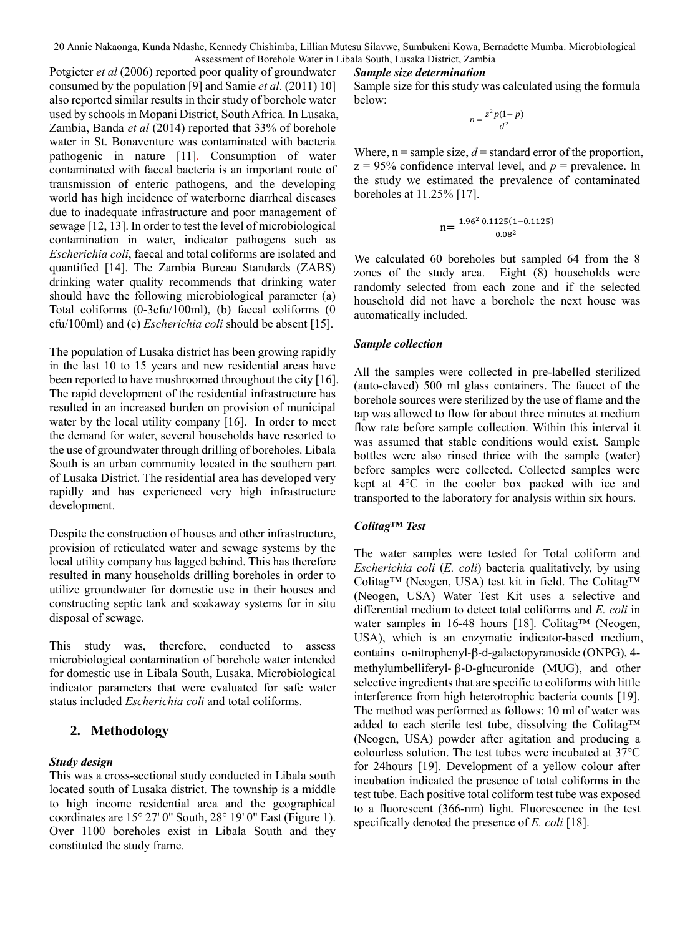20 Annie Nakaonga, Kunda Ndashe, Kennedy Chishimba, Lillian Mutesu Silavwe, Sumbukeni Kowa, Bernadette Mumba. Microbiological Assessment of Borehole Water in Libala South, Lusaka District, Zambia

#### *Sample size determination*

Sample size for this study was calculated using the formula below:

$$
n = \frac{z^2 p(1-p)}{d^2}
$$

Where,  $n =$  sample size,  $d =$  standard error of the proportion,  $z = 95\%$  confidence interval level, and  $p =$  prevalence. In the study we estimated the prevalence of contaminated boreholes at 11.25% [17].

$$
n = \frac{1.96^2 \, 0.1125 (1 - 0.1125)}{0.08^2}
$$

We calculated 60 boreholes but sampled 64 from the 8 zones of the study area. Eight (8) households were randomly selected from each zone and if the selected household did not have a borehole the next house was automatically included.

#### *Sample collection*

All the samples were collected in pre-labelled sterilized (auto-claved) 500 ml glass containers. The faucet of the borehole sources were sterilized by the use of flame and the tap was allowed to flow for about three minutes at medium flow rate before sample collection. Within this interval it was assumed that stable conditions would exist. Sample bottles were also rinsed thrice with the sample (water) before samples were collected. Collected samples were kept at 4°C in the cooler box packed with ice and transported to the laboratory for analysis within six hours.

### *Colitag™ Test*

The water samples were tested for Total coliform and *Escherichia coli* (*E. coli*) bacteria qualitatively, by using Colitag™ (Neogen, USA) test kit in field. The Colitag™ (Neogen, USA) Water Test Kit uses a selective and differential medium to detect total coliforms and *E. coli* in water samples in 16-48 hours [18]. Colitag™ (Neogen, USA), which is an enzymatic indicator-based medium, contains o-nitrophenyl- $\beta$ -d-galactopyranoside (ONPG), 4methylumbelliferyl- $\beta$ -D-glucuronide (MUG), and other selective ingredients that are specific to coliforms with little interference from high heterotrophic bacteria counts [19]. The method was performed as follows: 10 ml of water was added to each sterile test tube, dissolving the Colitag™ (Neogen, USA) powder after agitation and producing a colourless solution. The test tubes were incubated at 37°C for 24hours [19]. Development of a yellow colour after incubation indicated the presence of total coliforms in the test tube. Each positive total coliform test tube was exposed to a fluorescent (366-nm) light. Fluorescence in the test specifically denoted the presence of *E. coli* [18].

Potgieter *et al* (2006) reported poor quality of groundwater consumed by the population [9] and Samie *et al*. (2011) 10] also reported similar results in their study of borehole water used by schools in Mopani District, South Africa. In Lusaka, Zambia, Banda *et al* (2014) reported that 33% of borehole water in St. Bonaventure was contaminated with bacteria pathogenic in nature [11]. Consumption of water contaminated with faecal bacteria is an important route of transmission of enteric pathogens, and the developing world has high incidence of waterborne diarrheal diseases due to inadequate infrastructure and poor management of sewage [12, 13]. In order to test the level of microbiological contamination in water, indicator pathogens such as *Escherichia coli*, faecal and total coliforms are isolated and quantified [14]. The Zambia Bureau Standards (ZABS) drinking water quality recommends that drinking water should have the following microbiological parameter (a) Total coliforms (0-3cfu/100ml), (b) faecal coliforms (0 cfu/100ml) and (c) *Escherichia coli* should be absent [15].

The population of Lusaka district has been growing rapidly in the last 10 to 15 years and new residential areas have been reported to have mushroomed throughout the city [16]. The rapid development of the residential infrastructure has resulted in an increased burden on provision of municipal water by the local utility company [16]. In order to meet the demand for water, several households have resorted to the use of groundwater through drilling of boreholes. Libala South is an urban community located in the southern part of Lusaka District. The residential area has developed very rapidly and has experienced very high infrastructure development.

Despite the construction of houses and other infrastructure, provision of reticulated water and sewage systems by the local utility company has lagged behind. This has therefore resulted in many households drilling boreholes in order to utilize groundwater for domestic use in their houses and constructing septic tank and soakaway systems for in situ disposal of sewage.

This study was, therefore, conducted to assess microbiological contamination of borehole water intended for domestic use in Libala South, Lusaka. Microbiological indicator parameters that were evaluated for safe water status included *Escherichia coli* and total coliforms.

## **2. Methodology**

## *Study design*

This was a cross-sectional study conducted in Libala south located south of Lusaka district. The township is a middle to high income residential area and the geographical coordinates are 15° 27' 0" South, 28° 19' 0" East (Figure 1). Over 1100 boreholes exist in Libala South and they constituted the study frame.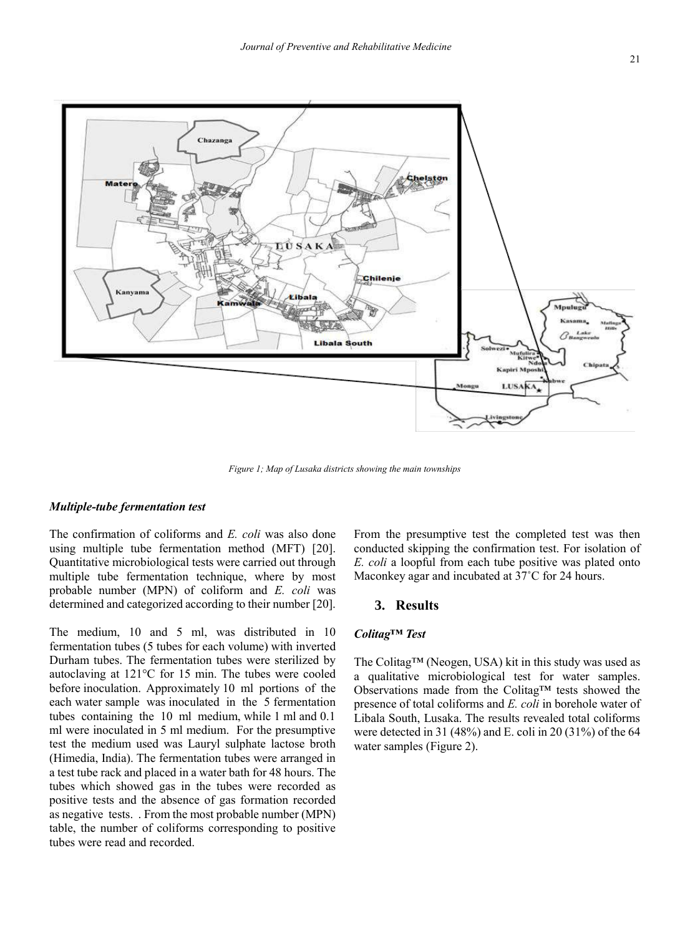

*Figure 1; Map of Lusaka districts showing the main townships*

### *Multiple-tube fermentation test*

The confirmation of coliforms and *E. coli* was also done using multiple tube fermentation method (MFT) [20]. Quantitative microbiological tests were carried out through multiple tube fermentation technique, where by most probable number (MPN) of coliform and *E. coli* was determined and categorized according to their number [20].

The medium, 10 and 5 ml, was distributed in 10 fermentation tubes (5 tubes for each volume) with inverted Durham tubes. The fermentation tubes were sterilized by autoclaving at 121°C for 15 min. The tubes were cooled before inoculation. Approximately 10 ml portions of the each water sample was inoculated in the 5 fermentation tubes containing the 10 ml medium, while 1 ml and 0.1 ml were inoculated in 5 ml medium. For the presumptive test the medium used was Lauryl sulphate lactose broth (Himedia, India). The fermentation tubes were arranged in a test tube rack and placed in a water bath for 48 hours. The tubes which showed gas in the tubes were recorded as positive tests and the absence of gas formation recorded as negative tests. . From the most probable number (MPN) table, the number of coliforms corresponding to positive tubes were read and recorded.

From the presumptive test the completed test was then conducted skipping the confirmation test. For isolation of *E. coli* a loopful from each tube positive was plated onto Maconkey agar and incubated at 37˚C for 24 hours.

## **3. Results**

#### *Colitag™ Test*

The Colitag™ (Neogen, USA) kit in this study was used as a qualitative microbiological test for water samples. Observations made from the Colitag™ tests showed the presence of total coliforms and *E. coli* in borehole water of Libala South, Lusaka. The results revealed total coliforms were detected in 31 (48%) and E. coli in 20 (31%) of the 64 water samples (Figure 2).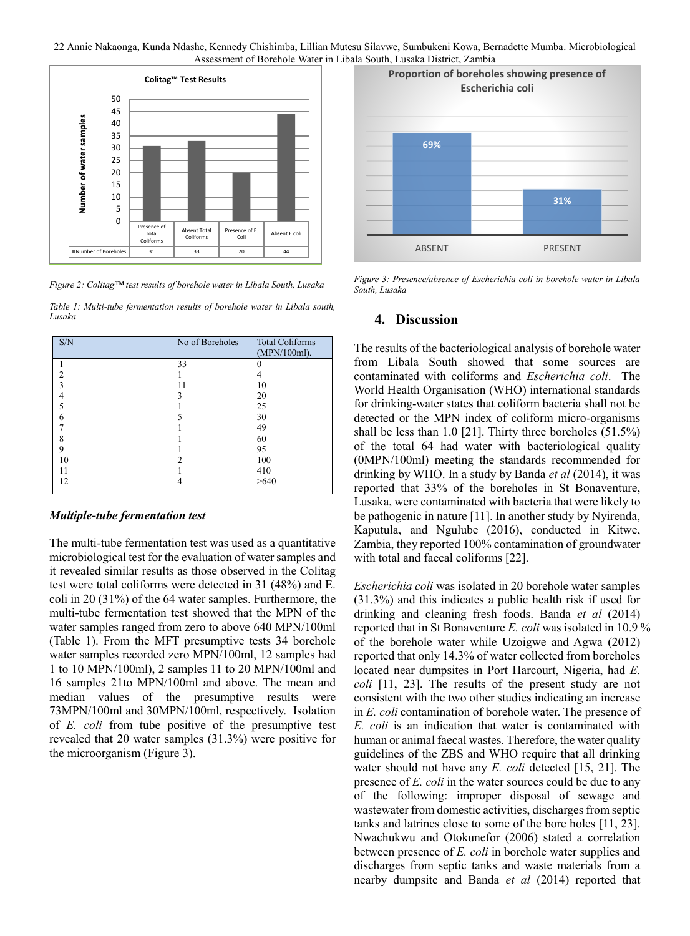



*Figure 2: Colitag™ test results of borehole water in Libala South, Lusaka*

*Table 1: Multi-tube fermentation results of borehole water in Libala south. Lusaka*

| S/N                      | No of Boreholes | <b>Total Coliforms</b><br>(MPN/100ml). |
|--------------------------|-----------------|----------------------------------------|
|                          | 33              |                                        |
| 2                        |                 |                                        |
| 3                        | 11              | 10                                     |
| 4                        | 3               | 20                                     |
| $\overline{\phantom{0}}$ |                 | 25                                     |
| 6                        |                 | 30                                     |
|                          |                 | 49                                     |
| 8                        |                 | 60                                     |
| 9                        |                 | 95                                     |
| 10                       | $\mathfrak{D}$  | 100                                    |
| 11                       |                 | 410                                    |
| 12                       | 4               | >640                                   |

#### *Multiple-tube fermentation test*

The multi-tube fermentation test was used as a quantitative microbiological test for the evaluation of water samples and it revealed similar results as those observed in the Colitag test were total coliforms were detected in 31 (48%) and E. coli in 20 (31%) of the 64 water samples. Furthermore, the multi-tube fermentation test showed that the MPN of the water samples ranged from zero to above 640 MPN/100ml (Table 1). From the MFT presumptive tests 34 borehole water samples recorded zero MPN/100ml, 12 samples had 1 to 10 MPN/100ml), 2 samples 11 to 20 MPN/100ml and 16 samples 21to MPN/100ml and above. The mean and median values of the presumptive results were 73MPN/100ml and 30MPN/100ml, respectively. Isolation of *E. coli* from tube positive of the presumptive test revealed that 20 water samples (31.3%) were positive for the microorganism (Figure 3).



*Figure 3: Presence/absence of Escherichia coli in borehole water in Libala South, Lusaka*

#### **4. Discussion**

The results of the bacteriological analysis of borehole water from Libala South showed that some sources are contaminated with coliforms and *Escherichia coli*. The World Health Organisation (WHO) international standards for drinking-water states that coliform bacteria shall not be detected or the MPN index of coliform micro-organisms shall be less than 1.0 [21]. Thirty three boreholes (51.5%) of the total 64 had water with bacteriological quality (0MPN/100ml) meeting the standards recommended for drinking by WHO. In a study by Banda *et al* (2014), it was reported that 33% of the boreholes in St Bonaventure, Lusaka, were contaminated with bacteria that were likely to be pathogenic in nature [11]. In another study by Nyirenda, Kaputula, and Ngulube (2016), conducted in Kitwe, Zambia, they reported 100% contamination of groundwater with total and faecal coliforms [22].

*Escherichia coli* was isolated in 20 borehole water samples (31.3%) and this indicates a public health risk if used for drinking and cleaning fresh foods. Banda *et al* (2014) reported that in St Bonaventure *E. coli* was isolated in 10.9 % of the borehole water while Uzoigwe and Agwa (2012) reported that only 14.3% of water collected from boreholes located near dumpsites in Port Harcourt, Nigeria, had *E. coli* [11, 23]. The results of the present study are not consistent with the two other studies indicating an increase in *E. coli* contamination of borehole water. The presence of *E. coli* is an indication that water is contaminated with human or animal faecal wastes. Therefore, the water quality guidelines of the ZBS and WHO require that all drinking water should not have any *E. coli* detected [15, 21]. The presence of *E. coli* in the water sources could be due to any of the following: improper disposal of sewage and wastewater from domestic activities, discharges from septic tanks and latrines close to some of the bore holes [11, 23]. Nwachukwu and Otokunefor (2006) stated a correlation between presence of *E. coli* in borehole water supplies and discharges from septic tanks and waste materials from a nearby dumpsite and Banda *et al* (2014) reported that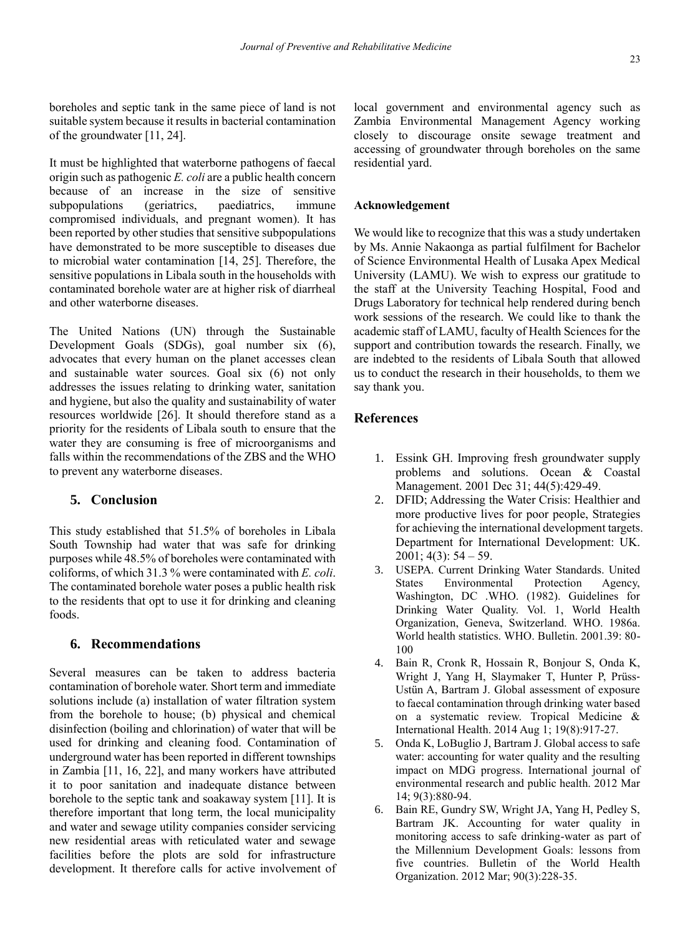boreholes and septic tank in the same piece of land is not suitable system because it results in bacterial contamination of the groundwater [11, 24].

It must be highlighted that waterborne pathogens of faecal origin such as pathogenic *E. coli* are a public health concern because of an increase in the size of sensitive subpopulations (geriatrics, paediatrics, immune compromised individuals, and pregnant women). It has been reported by other studies that sensitive subpopulations have demonstrated to be more susceptible to diseases due to microbial water contamination [14, 25]. Therefore, the sensitive populations in Libala south in the households with contaminated borehole water are at higher risk of diarrheal and other waterborne diseases.

The United Nations (UN) through the Sustainable Development Goals (SDGs), goal number six (6), advocates that every human on the planet accesses clean and sustainable water sources. Goal six (6) not only addresses the issues relating to drinking water, sanitation and hygiene, but also the quality and sustainability of water resources worldwide [26]. It should therefore stand as a priority for the residents of Libala south to ensure that the water they are consuming is free of microorganisms and falls within the recommendations of the ZBS and the WHO to prevent any waterborne diseases.

## **5. Conclusion**

This study established that 51.5% of boreholes in Libala South Township had water that was safe for drinking purposes while 48.5% of boreholes were contaminated with coliforms, of which 31.3 % were contaminated with *E. coli*. The contaminated borehole water poses a public health risk to the residents that opt to use it for drinking and cleaning foods.

## **6. Recommendations**

Several measures can be taken to address bacteria contamination of borehole water. Short term and immediate solutions include (a) installation of water filtration system from the borehole to house; (b) physical and chemical disinfection (boiling and chlorination) of water that will be used for drinking and cleaning food. Contamination of underground water has been reported in different townships in Zambia [11, 16, 22], and many workers have attributed it to poor sanitation and inadequate distance between borehole to the septic tank and soakaway system [11]. It is therefore important that long term, the local municipality and water and sewage utility companies consider servicing new residential areas with reticulated water and sewage facilities before the plots are sold for infrastructure development. It therefore calls for active involvement of local government and environmental agency such as Zambia Environmental Management Agency working closely to discourage onsite sewage treatment and accessing of groundwater through boreholes on the same residential yard.

## **Acknowledgement**

We would like to recognize that this was a study undertaken by Ms. Annie Nakaonga as partial fulfilment for Bachelor of Science Environmental Health of Lusaka Apex Medical University (LAMU). We wish to express our gratitude to the staff at the University Teaching Hospital, Food and Drugs Laboratory for technical help rendered during bench work sessions of the research. We could like to thank the academic staff of LAMU, faculty of Health Sciences for the support and contribution towards the research. Finally, we are indebted to the residents of Libala South that allowed us to conduct the research in their households, to them we say thank you.

## **References**

- 1. Essink GH. Improving fresh groundwater supply problems and solutions. Ocean & Coastal Management. 2001 Dec 31; 44(5):429-49.
- 2. DFID; Addressing the Water Crisis: Healthier and more productive lives for poor people, Strategies for achieving the international development targets. Department for International Development: UK.  $2001$ ;  $4(3)$ :  $54 - 59$ .
- 3. USEPA. Current Drinking Water Standards. United States Environmental Protection Agency, Washington, DC .WHO. (1982). Guidelines for Drinking Water Quality. Vol. 1, World Health Organization, Geneva, Switzerland. WHO. 1986a. World health statistics. WHO. Bulletin. 2001.39: 80- 100
- 4. Bain R, Cronk R, Hossain R, Bonjour S, Onda K, Wright J, Yang H, Slaymaker T, Hunter P, Prüss-Ustün A, Bartram J. Global assessment of exposure to faecal contamination through drinking water based on a systematic review. Tropical Medicine & International Health. 2014 Aug 1; 19(8):917-27.
- 5. Onda K, LoBuglio J, Bartram J. Global access to safe water: accounting for water quality and the resulting impact on MDG progress. International journal of environmental research and public health. 2012 Mar 14; 9(3):880-94.
- 6. Bain RE, Gundry SW, Wright JA, Yang H, Pedley S, Bartram JK. Accounting for water quality in monitoring access to safe drinking-water as part of the Millennium Development Goals: lessons from five countries. Bulletin of the World Health Organization. 2012 Mar; 90(3):228-35.